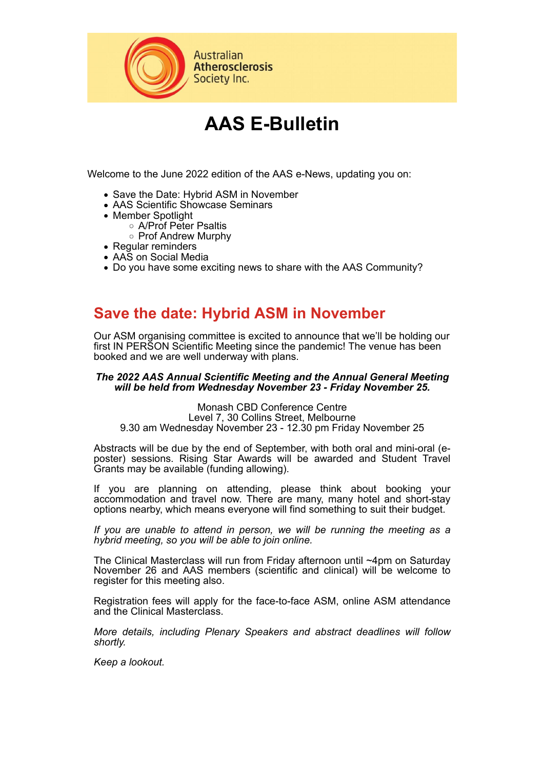

# **AAS E-Bulletin**

Welcome to the June 2022 edition of the AAS e-News, updating you on:

- Save the Date: Hybrid ASM in November
- AAS Scientific Showcase Seminars
- Member Spotlight
	- A/Prof Peter Psaltis
	- Prof Andrew Murphy
- Regular reminders
- AAS on Social Media
- Do you have some exciting news to share with the AAS Community?

#### **Save the date: Hybrid ASM in November**

Our ASM organising committee is excited to announce that we'll be holding our first IN PERSON Scientific Meeting since the pandemic! The venue has been booked and we are well underway with plans.

#### *The 2022 AAS Annual Scientific Meeting and the Annual General Meeting will be held from Wednesday November 23 - Friday November 25.*

Monash CBD Conference Centre Level 7, 30 Collins Street, Melbourne 9.30 am Wednesday November 23 - 12.30 pm Friday November 25

Abstracts will be due by the end of September, with both oral and mini-oral (eposter) sessions. Rising Star Awards will be awarded and Student Travel Grants may be available (funding allowing).

If you are planning on attending, please think about booking your accommodation and travel now. There are many, many hotel and short-stay options nearby, which means everyone will find something to suit their budget.

*If you are unable to attend in person, we will be running the meeting as a hybrid meeting, so you will be able to join online.* 

The Clinical Masterclass will run from Friday afternoon until ~4pm on Saturday November 26 and AAS members (scientific and clinical) will be welcome to register for this meeting also.

Registration fees will apply for the face-to-face ASM, online ASM attendance and the Clinical Masterclass.

*More details, including Plenary Speakers and abstract deadlines will follow shortly.*

*Keep a lookout.*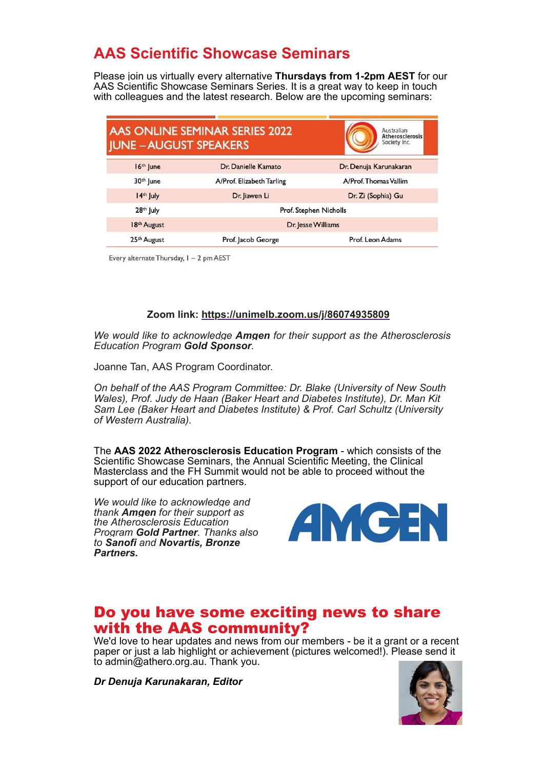# **AAS Scientific Showcase Seminars**

Please join us virtually every alternative **Thursdays from 1-2pm AEST** for our AAS Scientific Showcase Seminars Series. It is a great way to keep in touch with colleagues and the latest research. Below are the upcoming seminars:

| <b>JUNE - AUGUST SPEAKERS</b> | <b>AAS ONLINE SEMINAR SERIES 2022</b> | Australian<br><b>Atherosclerosis</b><br>Society Inc. |
|-------------------------------|---------------------------------------|------------------------------------------------------|
| $16th$ June                   | Dr. Danielle Kamato                   | Dr. Denuja Karunakaran                               |
| 30th June                     | A/Prof. Elizabeth Tarling             | A/Prof. Thomas Vallim                                |
| 14th July                     | Dr. Jiawen Li                         | Dr. Zi (Sophia) Gu                                   |
| 28 <sup>th</sup> July         | Prof. Stephen Nicholls                |                                                      |
| 18 <sup>th</sup> August       | Dr. Jesse Williams                    |                                                      |
| 25 <sup>th</sup> August       | Prof. Jacob George                    | Prof. Leon Adams                                     |

Every alternate Thursday, I - 2 pm AEST

#### **Zoom link: https://unimelb.zoom.us/j/86074935809**

*We would like to acknowledge Amgen for their support as the Atherosclerosis Education Program Gold Sponsor.* 

Joanne Tan, AAS Program Coordinator.

*On behalf of the AAS Program Committee: Dr. Blake (University of New South Wales), Prof. Judy de Haan (Baker Heart and Diabetes Institute), Dr. Man Kit Sam Lee (Baker Heart and Diabetes Institute) & Prof. Carl Schultz (University of Western Australia).* 

The **AAS 2022 Atherosclerosis Education Program** - which consists of the Scientific Showcase Seminars, the Annual Scientific Meeting, the Clinical Masterclass and the FH Summit would not be able to proceed without the support of our education partners.

*We would like to acknowledge and thank Amgen for their support as the Atherosclerosis Education Program Gold Partner. Thanks also to Sanofi and Novartis, Bronze Partners.* 



#### Do you have some exciting news to share with the AAS community?

We'd love to hear updates and news from our members - be it a grant or a recent paper or just a lab highlight or achievement (pictures welcomed!). Please send it to admin@athero.org.au. Thank you.

*Dr Denuja Karunakaran, Editor*

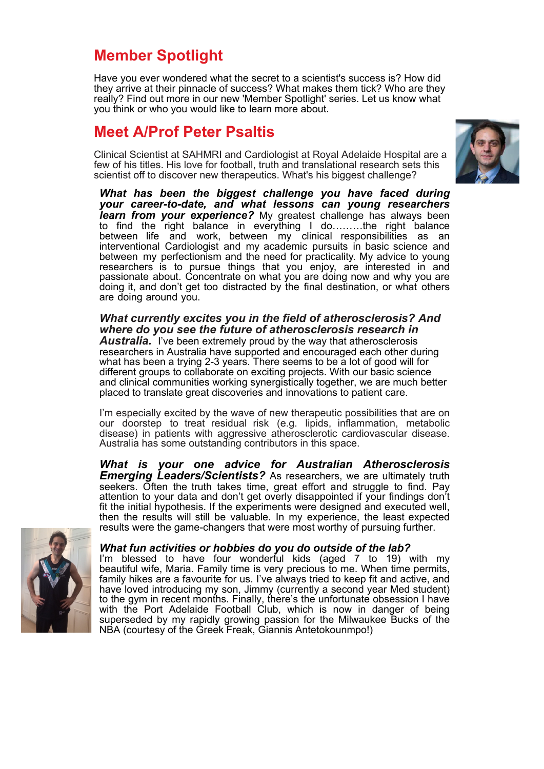## **Member Spotlight**

Have you ever wondered what the secret to a scientist's success is? How did they arrive at their pinnacle of success? What makes them tick? Who are they really? Find out more in our new 'Member Spotlight' series. Let us know what you think or who you would like to learn more about.

### **Meet A/Prof Peter Psaltis**

Clinical Scientist at SAHMRI and Cardiologist at Royal Adelaide Hospital are a few of his titles. His love for football, truth and translational research sets this scientist off to discover new therapeutics. What's his biggest challenge?



*What has been the biggest challenge you have faced during your career-to-date, and what lessons can young researchers learn from your experience?* My greatest challenge has always been to find the right balance in everything I do………the right balance between life and work, between my clinical responsibilities as an interventional Cardiologist and my academic pursuits in basic science and between my perfectionism and the need for practicality. My advice to young researchers is to pursue things that you enjoy, are interested in and passionate about. Concentrate on what you are doing now and why you are doing it, and don't get too distracted by the final destination, or what others are doing around you.

#### *What currently excites you in the field of atherosclerosis? And where do you see the future of atherosclerosis research in*

**Australia.** I've been extremely proud by the way that atherosclerosis researchers in Australia have supported and encouraged each other during what has been a trying 2-3 years. There seems to be a lot of good will for different groups to collaborate on exciting projects. With our basic science and clinical communities working synergistically together, we are much better placed to translate great discoveries and innovations to patient care.

I'm especially excited by the wave of new therapeutic possibilities that are on our doorstep to treat residual risk (e.g. lipids, inflammation, metabolic disease) in patients with aggressive atherosclerotic cardiovascular disease. Australia has some outstanding contributors in this space.

*What is your one advice for Australian Atherosclerosis Emerging Leaders/Scientists?* As researchers, we are ultimately truth seekers. Often the truth takes time, great effort and struggle to find. Pay attention to your data and don't get overly disappointed if your findings don't fit the initial hypothesis. If the experiments were designed and executed well, then the results will still be valuable. In my experience, the least expected results were the game-changers that were most worthy of pursuing further.



#### *What fun activities or hobbies do you do outside of the lab?*

I'm blessed to have four wonderful kids (aged 7 to 19) with my beautiful wife, Maria. Family time is very precious to me. When time permits, family hikes are a favourite for us. I've always tried to keep fit and active, and have loved introducing my son, Jimmy (currently a second year Med student) to the gym in recent months. Finally, there's the unfortunate obsession I have with the Port Adelaide Football Club, which is now in danger of being superseded by my rapidly growing passion for the Milwaukee Bucks of the NBA (courtesy of the Greek Freak, Giannis Antetokounmpo!)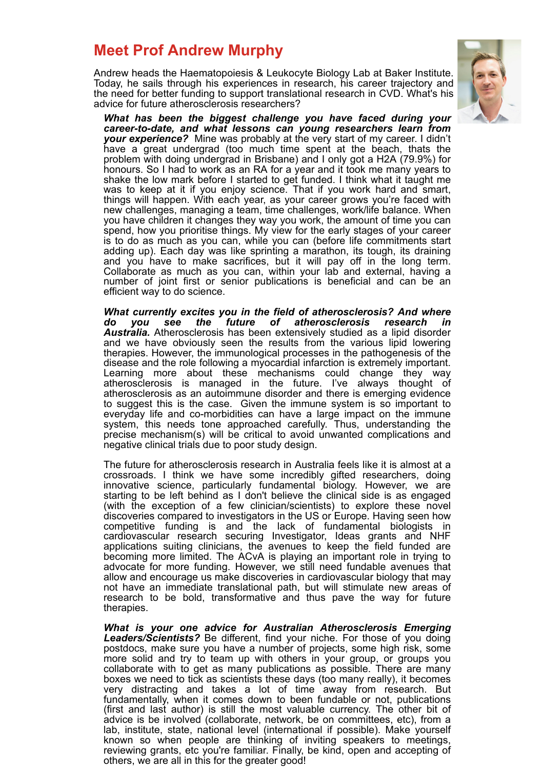### **Meet Prof Andrew Murphy**

Andrew heads the Haematopoiesis & Leukocyte Biology Lab at Baker Institute. Today, he sails through his experiences in research, his career trajectory and the need for better funding to support translational research in CVD. What's his advice for future atherosclerosis researchers?



*What has been the biggest challenge you have faced during your career-to-date, and what lessons can young researchers learn from your experience?* Mine was probably at the very start of my career. I didn't have a great undergrad (too much time spent at the beach, thats the problem with doing undergrad in Brisbane) and I only got a H2A (79.9%) for honours. So I had to work as an RA for a year and it took me many years to shake the low mark before I started to get funded. I think what it taught me was to keep at it if you enjoy science. That if you work hard and smart, things will happen. With each year, as your career grows you're faced with new challenges, managing a team, time challenges, work/life balance. When you have children it changes they way you work, the amount of time you can spend, how you prioritise things. My view for the early stages of your career is to do as much as you can, while you can (before life commitments start adding up). Each day was like sprinting a marathon, its tough, its draining and you have to make sacrifices, but it will pay off in the long term. Collaborate as much as you can, within your lab and external, having a number of joint first or senior publications is beneficial and can be an efficient way to do science.

*What currently excites you in the field of atherosclerosis? And where do you see the future of atherosclerosis research in Australia.* Atherosclerosis has been extensively studied as a lipid disorder and we have obviously seen the results from the various lipid lowering therapies. However, the immunological processes in the pathogenesis of the disease and the role following a myocardial infarction is extremely important. Learning more about these mechanisms could change they way atherosclerosis is managed in the future. I've always thought of atherosclerosis as an autoimmune disorder and there is emerging evidence to suggest this is the case. Given the immune system is so important to everyday life and co-morbidities can have a large impact on the immune system, this needs tone approached carefully. Thus, understanding the precise mechanism(s) will be critical to avoid unwanted complications and negative clinical trials due to poor study design.

The future for atherosclerosis research in Australia feels like it is almost at a crossroads. I think we have some incredibly gifted researchers, doing innovative science, particularly fundamental biology. However, we are starting to be left behind as I don't believe the clinical side is as engaged (with the exception of a few clinician/scientists) to explore these novel discoveries compared to investigators in the US or Europe. Having seen how competitive funding is and the lack of fundamental biologists in cardiovascular research securing Investigator, Ideas grants and NHF applications suiting clinicians, the avenues to keep the field funded are becoming more limited. The ACvA is playing an important role in trying to advocate for more funding. However, we still need fundable avenues that allow and encourage us make discoveries in cardiovascular biology that may not have an immediate translational path, but will stimulate new areas of research to be bold, transformative and thus pave the way for future therapies.

*What is your one advice for Australian Atherosclerosis Emerging* Leaders/Scientists? Be different, find your niche. For those of you doing postdocs, make sure you have a number of projects, some high risk, some more solid and try to team up with others in your group, or groups you collaborate with to get as many publications as possible. There are many boxes we need to tick as scientists these days (too many really), it becomes very distracting and takes a lot of time away from research. But fundamentally, when it comes down to been fundable or not, publications (first and last author) is still the most valuable currency. The other bit of advice is be involved (collaborate, network, be on committees, etc), from a lab, institute, state, national level (international if possible). Make yourself known so when people are thinking of inviting speakers to meetings, reviewing grants, etc you're familiar. Finally, be kind, open and accepting of others, we are all in this for the greater good!